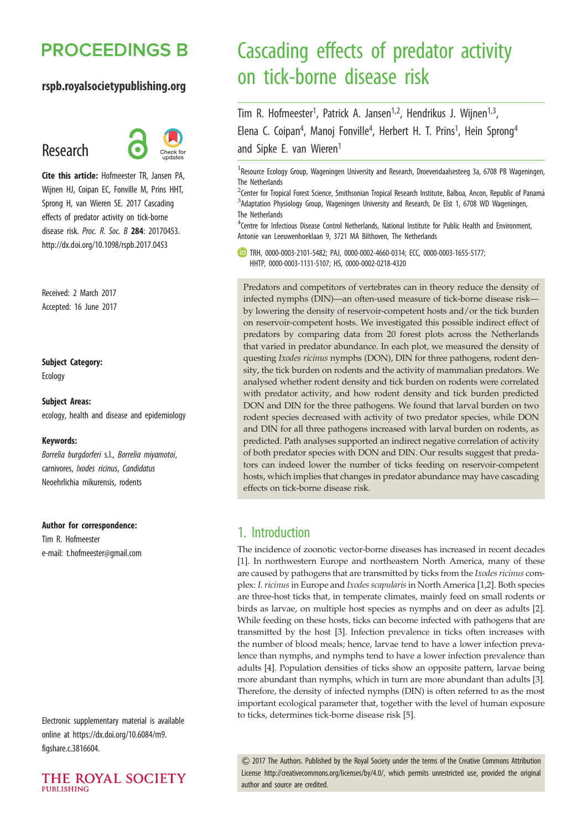## **PROCEEDINGS B**

## rspb.royalsocietypublishing.org

## Research



Cite this article: Hofmeester TR, Jansen PA, Wijnen HJ, Coipan EC, Fonville M, Prins HHT, Sprong H, van Wieren SE. 2017 Cascading effects of predator activity on tick-borne disease risk. Proc. R. Soc. B 284: 20170453. http://dx.doi.org/10.1098/rspb.2017.0453

Received: 2 March 2017 Accepted: 16 June 2017

#### Subject Category:

Ecology

Subject Areas: ecology, health and disease and epidemiology

#### Keywords:

Borrelia burgdorferi s.l., Borrelia miyamotoi, carnivores, Ixodes ricinus, Candidatus Neoehrlichia mikurensis, rodents

#### Author for correspondence:

Tim R. Hofmeester e-mail: [t.hofmeester@gmail.com](mailto:t.hofmeester@gmail.com)

Electronic supplementary material is available online at [https://dx.doi.org/10.6084/m9.](https://dx.doi.org/10.6084/m9.figshare.c.3816604) [figshare.c.3816604](https://dx.doi.org/10.6084/m9.figshare.c.3816604).



# Cascading effects of predator activity on tick-borne disease risk

Tim R. Hofmeester<sup>1</sup>, Patrick A. Jansen<sup>1,2</sup>, Hendrikus J. Wijnen<sup>1,3</sup>, Elena C. Coipan<sup>4</sup>, Manoj Fonville<sup>4</sup>, Herbert H. T. Prins<sup>1</sup>, Hein Sprong<sup>4</sup> and Sipke E. van Wieren<sup>1</sup>

<sup>1</sup> Resource Ecology Group, Wageningen University and Research, Droevendaalsesteeg 3a, 6708 PB Wageningen, The Netherlands

 $2$ Center for Tropical Forest Science, Smithsonian Tropical Research Institute, Balboa, Ancon, Republic of Panamá <sup>3</sup>Adaptation Physiology Group, Wageningen University and Research, De Elst 1, 6708 WD Wageningen, The Netherlands

<sup>4</sup>Centre for Infectious Disease Control Netherlands, National Institute for Public Health and Environment, Antonie van Leeuwenhoeklaan 9, 3721 MA Bilthoven, The Netherlands

TRH, [0000-0003-2101-5482](http://orcid.org/0000-0003-2101-5482); PAJ, [0000-0002-4660-0314;](http://orcid.org/0000-0002-4660-0314) ECC, [0000-0003-1655-5177;](http://orcid.org/0000-0003-1655-5177) HHTP, [0000-0003-1131-5107;](http://orcid.org/0000-0003-1131-5107) HS, [0000-0002-0218-4320](http://orcid.org/0000-0002-0218-4320)

Predators and competitors of vertebrates can in theory reduce the density of infected nymphs (DIN)—an often-used measure of tick-borne disease risk by lowering the density of reservoir-competent hosts and/or the tick burden on reservoir-competent hosts. We investigated this possible indirect effect of predators by comparing data from 20 forest plots across the Netherlands that varied in predator abundance. In each plot, we measured the density of questing Ixodes ricinus nymphs (DON), DIN for three pathogens, rodent density, the tick burden on rodents and the activity of mammalian predators. We analysed whether rodent density and tick burden on rodents were correlated with predator activity, and how rodent density and tick burden predicted DON and DIN for the three pathogens. We found that larval burden on two rodent species decreased with activity of two predator species, while DON and DIN for all three pathogens increased with larval burden on rodents, as predicted. Path analyses supported an indirect negative correlation of activity of both predator species with DON and DIN. Our results suggest that predators can indeed lower the number of ticks feeding on reservoir-competent hosts, which implies that changes in predator abundance may have cascading effects on tick-borne disease risk.

## 1. Introduction

The incidence of zoonotic vector-borne diseases has increased in recent decades [[1](#page-6-0)]. In northwestern Europe and northeastern North America, many of these are caused by pathogens that are transmitted by ticks from the Ixodes ricinus complex: I. ricinus in Europe and Ixodes scapularis in North America [\[1,2](#page-6-0)]. Both species are three-host ticks that, in temperate climates, mainly feed on small rodents or birds as larvae, on multiple host species as nymphs and on deer as adults [\[2\]](#page-6-0). While feeding on these hosts, ticks can become infected with pathogens that are transmitted by the host [[3](#page-6-0)]. Infection prevalence in ticks often increases with the number of blood meals; hence, larvae tend to have a lower infection prevalence than nymphs, and nymphs tend to have a lower infection prevalence than adults [\[4](#page-6-0)]. Population densities of ticks show an opposite pattern, larvae being more abundant than nymphs, which in turn are more abundant than adults [\[3\]](#page-6-0). Therefore, the density of infected nymphs (DIN) is often referred to as the most important ecological parameter that, together with the level of human exposure to ticks, determines tick-borne disease risk [[5](#page-6-0)].

& 2017 The Authors. Published by the Royal Society under the terms of the Creative Commons Attribution License [http://creativecommons.org/licenses/by/4.0/, which permits unrestricted use, provided the original](http://creativecommons.org/licenses/by/4.0/) [author and source are credited.](http://creativecommons.org/licenses/by/4.0/)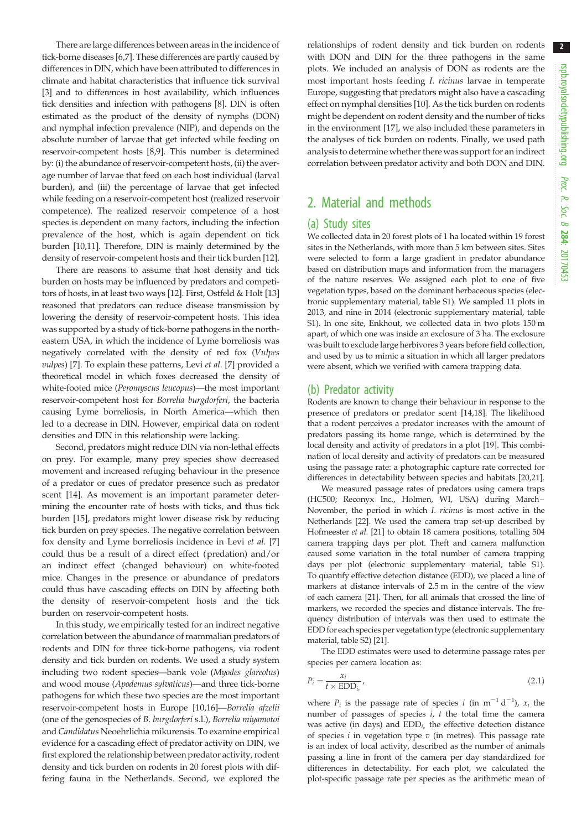There are large differences between areas in the incidence of tick-borne diseases [\[6](#page-6-0),[7](#page-6-0)]. These differences are partly caused by differences in DIN, which have been attributed to differences in climate and habitat characteristics that influence tick survival [\[3\]](#page-6-0) and to differences in host availability, which influences tick densities and infection with pathogens [[8](#page-6-0)]. DIN is often estimated as the product of the density of nymphs (DON) and nymphal infection prevalence (NIP), and depends on the absolute number of larvae that get infected while feeding on reservoir-competent hosts [[8,9\]](#page-6-0). This number is determined by: (i) the abundance of reservoir-competent hosts, (ii) the average number of larvae that feed on each host individual (larval burden), and (iii) the percentage of larvae that get infected while feeding on a reservoir-competent host (realized reservoir competence). The realized reservoir competence of a host species is dependent on many factors, including the infection prevalence of the host, which is again dependent on tick burden [\[10,11](#page-6-0)]. Therefore, DIN is mainly determined by the density of reservoir-competent hosts and their tick burden [\[12](#page-6-0)].

There are reasons to assume that host density and tick burden on hosts may be influenced by predators and competitors of hosts, in at least two ways [[12\]](#page-6-0). First, Ostfeld & Holt [[13\]](#page-6-0) reasoned that predators can reduce disease transmission by lowering the density of reservoir-competent hosts. This idea was supported by a study of tick-borne pathogens in the northeastern USA, in which the incidence of Lyme borreliosis was negatively correlated with the density of red fox (Vulpes vulpes) [[7](#page-6-0)]. To explain these patterns, Levi et al. [[7](#page-6-0)] provided a theoretical model in which foxes decreased the density of white-footed mice (Peromyscus leucopus)—the most important reservoir-competent host for Borrelia burgdorferi, the bacteria causing Lyme borreliosis, in North America—which then led to a decrease in DIN. However, empirical data on rodent densities and DIN in this relationship were lacking.

Second, predators might reduce DIN via non-lethal effects on prey. For example, many prey species show decreased movement and increased refuging behaviour in the presence of a predator or cues of predator presence such as predator scent [[14\]](#page-6-0). As movement is an important parameter determining the encounter rate of hosts with ticks, and thus tick burden [[15](#page-6-0)], predators might lower disease risk by reducing tick burden on prey species. The negative correlation between fox density and Lyme borreliosis incidence in Levi et al. [\[7\]](#page-6-0) could thus be a result of a direct effect (predation) and/or an indirect effect (changed behaviour) on white-footed mice. Changes in the presence or abundance of predators could thus have cascading effects on DIN by affecting both the density of reservoir-competent hosts and the tick burden on reservoir-competent hosts.

In this study, we empirically tested for an indirect negative correlation between the abundance of mammalian predators of rodents and DIN for three tick-borne pathogens, via rodent density and tick burden on rodents. We used a study system including two rodent species—bank vole (Myodes glareolus) and wood mouse (Apodemus sylvaticus)—and three tick-borne pathogens for which these two species are the most important reservoir-competent hosts in Europe [\[10,16](#page-6-0)]—Borrelia afzelii (one of the genospecies of B. burgdorferi s.l.), Borrelia miyamotoi and Candidatus Neoehrlichia mikurensis. To examine empirical evidence for a cascading effect of predator activity on DIN, we first explored the relationship between predator activity, rodent density and tick burden on rodents in 20 forest plots with differing fauna in the Netherlands. Second, we explored the

relationships of rodent density and tick burden on rodents with DON and DIN for the three pathogens in the same plots. We included an analysis of DON as rodents are the most important hosts feeding I. ricinus larvae in temperate Europe, suggesting that predators might also have a cascading effect on nymphal densities [[10](#page-6-0)]. As the tick burden on rodents might be dependent on rodent density and the number of ticks in the environment [\[17\]](#page-6-0), we also included these parameters in the analyses of tick burden on rodents. Finally, we used path analysis to determine whether there was support for an indirect correlation between predator activity and both DON and DIN.

## 2. Material and methods

#### (a) Study sites

We collected data in 20 forest plots of 1 ha located within 19 forest sites in the Netherlands, with more than 5 km between sites. Sites were selected to form a large gradient in predator abundance based on distribution maps and information from the managers of the nature reserves. We assigned each plot to one of five vegetation types, based on the dominant herbaceous species (electronic supplementary material, table S1). We sampled 11 plots in 2013, and nine in 2014 (electronic supplementary material, table S1). In one site, Enkhout, we collected data in two plots 150 m apart, of which one was inside an exclosure of 3 ha. The exclosure was built to exclude large herbivores 3 years before field collection, and used by us to mimic a situation in which all larger predators were absent, which we verified with camera trapping data.

#### (b) Predator activity

Rodents are known to change their behaviour in response to the presence of predators or predator scent [\[14,](#page-6-0)[18](#page-7-0)]. The likelihood that a rodent perceives a predator increases with the amount of predators passing its home range, which is determined by the local density and activity of predators in a plot [[19](#page-7-0)]. This combination of local density and activity of predators can be measured using the passage rate: a photographic capture rate corrected for differences in detectability between species and habitats [[20,21\]](#page-7-0).

We measured passage rates of predators using camera traps (HC500; Reconyx Inc., Holmen, WI, USA) during March– November, the period in which I. ricinus is most active in the Netherlands [\[22](#page-7-0)]. We used the camera trap set-up described by Hofmeester et al. [\[21](#page-7-0)] to obtain 18 camera positions, totalling 504 camera trapping days per plot. Theft and camera malfunction caused some variation in the total number of camera trapping days per plot (electronic supplementary material, table S1). To quantify effective detection distance (EDD), we placed a line of markers at distance intervals of 2.5 m in the centre of the view of each camera [[21](#page-7-0)]. Then, for all animals that crossed the line of markers, we recorded the species and distance intervals. The frequency distribution of intervals was then used to estimate the EDD for each species per vegetation type (electronic supplementary material, table S2) [[21\]](#page-7-0).

The EDD estimates were used to determine passage rates per species per camera location as:

$$
P_i = \frac{x_i}{t \times \text{EDD}_{i_v}},\tag{2.1}
$$

where  $P_i$  is the passage rate of species i (in m<sup>-1</sup> d<sup>-1</sup>),  $x_i$  the number of passages of species  $i$ ,  $t$  the total time the camera was active (in days) and  $EDD_{i_n}$  the effective detection distance of species  $i$  in vegetation type  $v$  (in metres). This passage rate is an index of local activity, described as the number of animals passing a line in front of the camera per day standardized for differences in detectability. For each plot, we calculated the plot-specific passage rate per species as the arithmetic mean of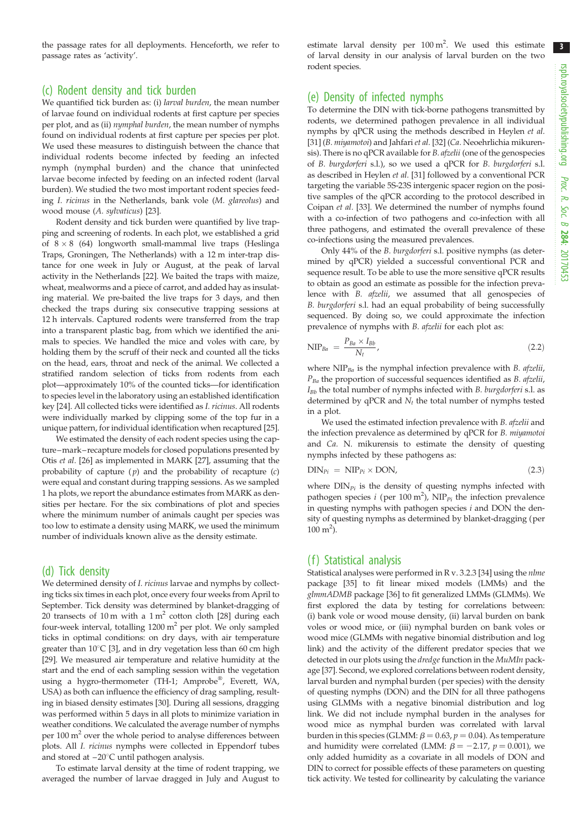the passage rates for all deployments. Henceforth, we refer to passage rates as 'activity'.

## (c) Rodent density and tick burden

We quantified tick burden as: (i) larval burden, the mean number of larvae found on individual rodents at first capture per species per plot, and as (ii) nymphal burden, the mean number of nymphs found on individual rodents at first capture per species per plot. We used these measures to distinguish between the chance that individual rodents become infected by feeding an infected nymph (nymphal burden) and the chance that uninfected larvae become infected by feeding on an infected rodent (larval burden). We studied the two most important rodent species feeding I. ricinus in the Netherlands, bank vole (M. glareolus) and wood mouse (A. sylvaticus) [\[23\]](#page-7-0).

Rodent density and tick burden were quantified by live trapping and screening of rodents. In each plot, we established a grid of  $8 \times 8$  (64) longworth small-mammal live traps (Heslinga Traps, Groningen, The Netherlands) with a 12 m inter-trap distance for one week in July or August, at the peak of larval activity in the Netherlands [[22](#page-7-0)]. We baited the traps with maize, wheat, mealworms and a piece of carrot, and added hay as insulating material. We pre-baited the live traps for 3 days, and then checked the traps during six consecutive trapping sessions at 12 h intervals. Captured rodents were transferred from the trap into a transparent plastic bag, from which we identified the animals to species. We handled the mice and voles with care, by holding them by the scruff of their neck and counted all the ticks on the head, ears, throat and neck of the animal. We collected a stratified random selection of ticks from rodents from each plot—approximately 10% of the counted ticks—for identification to species level in the laboratory using an established identification key [\[24](#page-7-0)]. All collected ticks were identified as I. ricinus. All rodents were individually marked by clipping some of the top fur in a unique pattern, for individual identification when recaptured [\[25\]](#page-7-0).

We estimated the density of each rodent species using the capture–mark–recapture models for closed populations presented by Otis et al. [[26](#page-7-0)] as implemented in MARK [[27](#page-7-0)], assuming that the probability of capture  $(p)$  and the probability of recapture  $(c)$ were equal and constant during trapping sessions. As we sampled 1 ha plots, we report the abundance estimates from MARK as densities per hectare. For the six combinations of plot and species where the minimum number of animals caught per species was too low to estimate a density using MARK, we used the minimum number of individuals known alive as the density estimate.

## (d) Tick density

We determined density of *I. ricinus* larvae and nymphs by collecting ticks six times in each plot, once every four weeks from April to September. Tick density was determined by blanket-dragging of 20 transects of 10 m with a  $1 \text{ m}^2$  cotton cloth [\[28\]](#page-7-0) during each four-week interval, totalling  $1200 \text{ m}^2$  per plot. We only sampled ticks in optimal conditions: on dry days, with air temperature greater than  $10^{\circ}$ C [[3](#page-6-0)], and in dry vegetation less than 60 cm high [\[29\]](#page-7-0). We measured air temperature and relative humidity at the start and the end of each sampling session within the vegetation using a hygro-thermometer (TH-1; Amprobe®, Everett, WA, USA) as both can influence the efficiency of drag sampling, resulting in biased density estimates [\[30\]](#page-7-0). During all sessions, dragging was performed within 5 days in all plots to minimize variation in weather conditions. We calculated the average number of nymphs per  $100 \text{ m}^2$  over the whole period to analyse differences between plots. All I. ricinus nymphs were collected in Eppendorf tubes and stored at  $-20^{\circ}$ C until pathogen analysis.

To estimate larval density at the time of rodent trapping, we averaged the number of larvae dragged in July and August to

estimate larval density per  $100 \text{ m}^2$ . We used this estimate of larval density in our analysis of larval burden on the two rodent species.

## (e) Density of infected nymphs

To determine the DIN with tick-borne pathogens transmitted by rodents, we determined pathogen prevalence in all individual nymphs by qPCR using the methods described in Heylen et al. [[31](#page-7-0)] (B. miyamotoi) and Jahfari et al. [\[32](#page-7-0)] (Ca. Neoehrlichia mikurensis). There is no qPCR available for B. afzelii (one of the genospecies of B. burgdorferi s.l.), so we used a qPCR for B. burgdorferi s.l. as described in Heylen et al. [[31](#page-7-0)] followed by a conventional PCR targeting the variable 5S-23S intergenic spacer region on the positive samples of the qPCR according to the protocol described in Coipan et al. [\[33\]](#page-7-0). We determined the number of nymphs found with a co-infection of two pathogens and co-infection with all three pathogens, and estimated the overall prevalence of these co-infections using the measured prevalences.

Only 44% of the B. burgdorferi s.l. positive nymphs (as determined by qPCR) yielded a successful conventional PCR and sequence result. To be able to use the more sensitive qPCR results to obtain as good an estimate as possible for the infection prevalence with B. afzelii, we assumed that all genospecies of B. burgdorferi s.l. had an equal probability of being successfully sequenced. By doing so, we could approximate the infection prevalence of nymphs with B. afzelii for each plot as:

$$
\text{NIP}_{Ba} = \frac{P_{Ba} \times I_{Bb}}{N_t},\tag{2.2}
$$

where  $NIP_{Ba}$  is the nymphal infection prevalence with B. afzelii,  $P_{Ba}$  the proportion of successful sequences identified as *B*. *afzelii*,  $I_{Bb}$  the total number of nymphs infected with B. burgdorferi s.l. as determined by qPCR and  $N_t$  the total number of nymphs tested in a plot.

We used the estimated infection prevalence with B. afzelii and the infection prevalence as determined by qPCR for B. miyamotoi and Ca. N. mikurensis to estimate the density of questing nymphs infected by these pathogens as:

$$
\text{DIN}_{\text{Pi}} = \text{NIP}_{\text{Pi}} \times \text{DON},\tag{2.3}
$$

where  $\text{DIN}_{Pi}$  is the density of questing nymphs infected with pathogen species *i* (per 100 m<sup>2</sup>),  $NIP_{Pi}$  the infection prevalence in questing nymphs with pathogen species  $i$  and DON the density of questing nymphs as determined by blanket-dragging (per  $100 \text{ m}^2$ ).

## (f) Statistical analysis

Statistical analyses were performed in R v. 3.2.3 [[34](#page-7-0)] using the nlme package [[35](#page-7-0)] to fit linear mixed models (LMMs) and the glmmADMB package [[36](#page-7-0)] to fit generalized LMMs (GLMMs). We first explored the data by testing for correlations between: (i) bank vole or wood mouse density, (ii) larval burden on bank voles or wood mice, or (iii) nymphal burden on bank voles or wood mice (GLMMs with negative binomial distribution and log link) and the activity of the different predator species that we detected in our plots using the dredge function in the MuMIn package [\[37](#page-7-0)]. Second, we explored correlations between rodent density, larval burden and nymphal burden (per species) with the density of questing nymphs (DON) and the DIN for all three pathogens using GLMMs with a negative binomial distribution and log link. We did not include nymphal burden in the analyses for wood mice as nymphal burden was correlated with larval burden in this species (GLMM:  $\beta = 0.63$ ,  $p = 0.04$ ). As temperature and humidity were correlated (LMM:  $\beta = -2.17$ ,  $p = 0.001$ ), we only added humidity as a covariate in all models of DON and DIN to correct for possible effects of these parameters on questing tick activity. We tested for collinearity by calculating the variance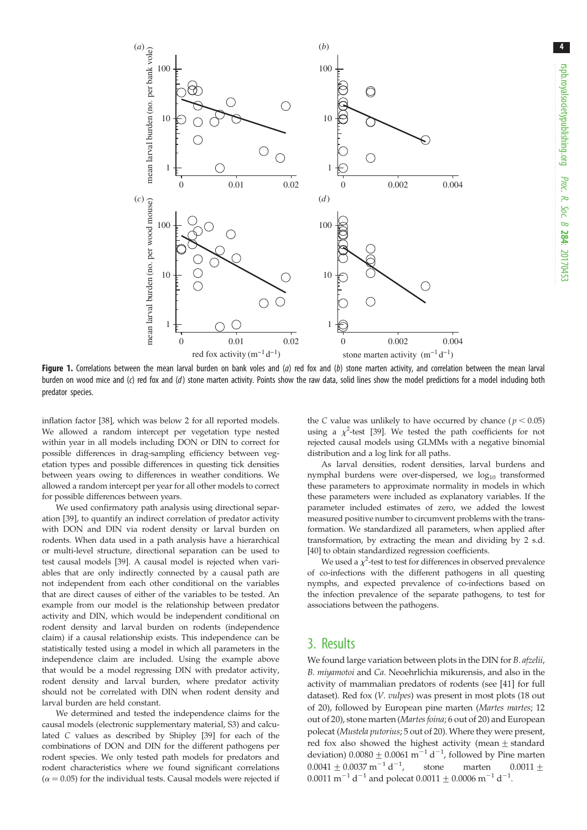<span id="page-3-0"></span>

Figure 1. Correlations between the mean larval burden on bank voles and  $(a)$  red fox and  $(b)$  stone marten activity, and correlation between the mean larval burden on wood mice and (c) red fox and (d) stone marten activity. Points show the raw data, solid lines show the model predictions for a model including both predator species.

inflation factor [[38](#page-7-0)], which was below 2 for all reported models. We allowed a random intercept per vegetation type nested within year in all models including DON or DIN to correct for possible differences in drag-sampling efficiency between vegetation types and possible differences in questing tick densities between years owing to differences in weather conditions. We allowed a random intercept per year for all other models to correct for possible differences between years.

We used confirmatory path analysis using directional separation [[39](#page-7-0)], to quantify an indirect correlation of predator activity with DON and DIN via rodent density or larval burden on rodents. When data used in a path analysis have a hierarchical or multi-level structure, directional separation can be used to test causal models [\[39\]](#page-7-0). A causal model is rejected when variables that are only indirectly connected by a causal path are not independent from each other conditional on the variables that are direct causes of either of the variables to be tested. An example from our model is the relationship between predator activity and DIN, which would be independent conditional on rodent density and larval burden on rodents (independence claim) if a causal relationship exists. This independence can be statistically tested using a model in which all parameters in the independence claim are included. Using the example above that would be a model regressing DIN with predator activity, rodent density and larval burden, where predator activity should not be correlated with DIN when rodent density and larval burden are held constant.

We determined and tested the independence claims for the causal models (electronic supplementary material, S3) and calculated C values as described by Shipley [\[39](#page-7-0)] for each of the combinations of DON and DIN for the different pathogens per rodent species. We only tested path models for predators and rodent characteristics where we found significant correlations  $(\alpha = 0.05)$  for the individual tests. Causal models were rejected if the C value was unlikely to have occurred by chance ( $p < 0.05$ ) using a  $\chi^2$ -test [\[39\]](#page-7-0). We tested the path coefficients for not rejected causal models using GLMMs with a negative binomial distribution and a log link for all paths.

As larval densities, rodent densities, larval burdens and nymphal burdens were over-dispersed, we  $log_{10}$  transformed these parameters to approximate normality in models in which these parameters were included as explanatory variables. If the parameter included estimates of zero, we added the lowest measured positive number to circumvent problems with the transformation. We standardized all parameters, when applied after transformation, by extracting the mean and dividing by 2 s.d. [[40](#page-7-0)] to obtain standardized regression coefficients.

We used a  $\chi^2$ -test to test for differences in observed prevalence of co-infections with the different pathogens in all questing nymphs, and expected prevalence of co-infections based on the infection prevalence of the separate pathogens, to test for associations between the pathogens.

## 3. Results

We found large variation between plots in the DIN for *B. afzelii*, B. miyamotoi and Ca. Neoehrlichia mikurensis, and also in the activity of mammalian predators of rodents (see [\[41](#page-7-0)] for full dataset). Red fox (V. vulpes) was present in most plots (18 out of 20), followed by European pine marten (Martes martes; 12 out of 20), stone marten (Martes foina; 6 out of 20) and European polecat (Mustela putorius; 5 out of 20). Where they were present, red fox also showed the highest activity (mean  $\pm$  standard deviation)  $0.0080 \pm 0.0061$  m<sup>-1</sup> d<sup>-1</sup>, followed by Pine marten  $0.0041 \pm 0.0037$  m<sup>-1</sup> d<sup>-1</sup>, stone marten  $0.0011 +$ 0.0011 m<sup>-1</sup> d<sup>-1</sup> and polecat 0.0011  $\pm$  0.0006 m<sup>-1</sup> d<sup>-1</sup>.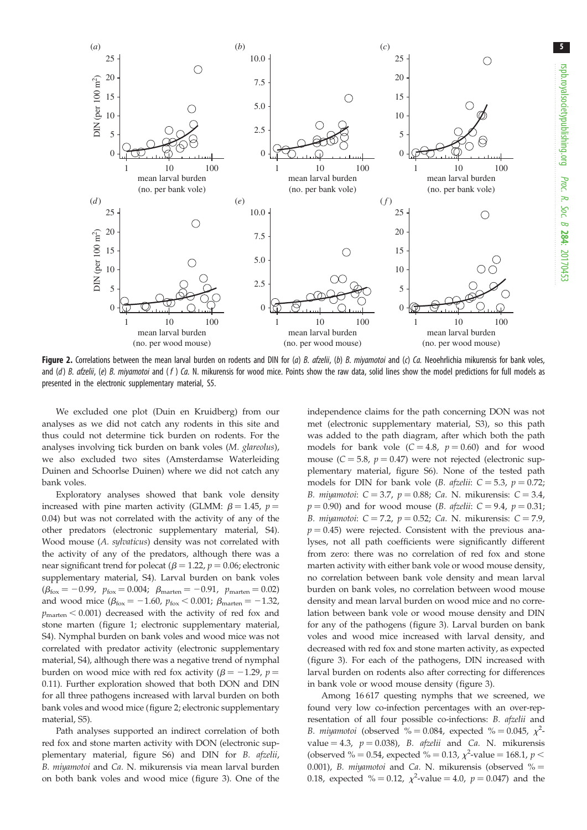

Figure 2. Correlations between the mean larval burden on rodents and DIN for (a) B. afzelii, (b) B. miyamotoi and (c) Ca. Neoehrlichia mikurensis for bank voles, and (d) B. afzelii, (e) B. miyamotoi and (f) Ca. N. mikurensis for wood mice. Points show the raw data, solid lines show the model predictions for full models as presented in the electronic supplementary material, S5.

We excluded one plot (Duin en Kruidberg) from our analyses as we did not catch any rodents in this site and thus could not determine tick burden on rodents. For the analyses involving tick burden on bank voles (M. glareolus), we also excluded two sites (Amsterdamse Waterleiding Duinen and Schoorlse Duinen) where we did not catch any bank voles.

Exploratory analyses showed that bank vole density increased with pine marten activity (GLMM:  $\beta = 1.45$ ,  $p =$ 0.04) but was not correlated with the activity of any of the other predators (electronic supplementary material, S4). Wood mouse (A. sylvaticus) density was not correlated with the activity of any of the predators, although there was a near significant trend for polecat ( $\beta$  = 1.22,  $p$  = 0.06; electronic supplementary material, S4). Larval burden on bank voles  $(\beta_{fox} = -0.99, p_{fox} = 0.004; \beta_{marten} = -0.91, p_{marten} = 0.02)$ and wood mice ( $\beta_{\text{fox}} = -1.60$ ,  $p_{\text{fox}} < 0.001$ ;  $\beta_{\text{marten}} = -1.32$ ,  $p<sub>marten</sub> < 0.001$ ) decreased with the activity of red fox and stone marten [\(figure 1](#page-3-0); electronic supplementary material, S4). Nymphal burden on bank voles and wood mice was not correlated with predator activity (electronic supplementary material, S4), although there was a negative trend of nymphal burden on wood mice with red fox activity ( $\beta$  = -1.29, p = 0.11). Further exploration showed that both DON and DIN for all three pathogens increased with larval burden on both bank voles and wood mice (figure 2; electronic supplementary material, S5).

Path analyses supported an indirect correlation of both red fox and stone marten activity with DON (electronic supplementary material, figure S6) and DIN for B. afzelii, B. miyamotoi and Ca. N. mikurensis via mean larval burden on both bank voles and wood mice [\(figure 3\)](#page-5-0). One of the independence claims for the path concerning DON was not met (electronic supplementary material, S3), so this path was added to the path diagram, after which both the path models for bank vole  $(C = 4.8, p = 0.60)$  and for wood mouse ( $C = 5.8$ ,  $p = 0.47$ ) were not rejected (electronic supplementary material, figure S6). None of the tested path models for DIN for bank vole (*B. afzelii:*  $C = 5.3$ ,  $p = 0.72$ ; B. *miyamotoi:*  $C = 3.7$ ,  $p = 0.88$ ; Ca. N. mikurensis:  $C = 3.4$ ,  $p = 0.90$  and for wood mouse (*B. afzelii:*  $C = 9.4$ ,  $p = 0.31$ ; B. miyamotoi:  $C = 7.2$ ,  $p = 0.52$ ; Ca. N. mikurensis:  $C = 7.9$ ,  $p = 0.45$ ) were rejected. Consistent with the previous analyses, not all path coefficients were significantly different from zero: there was no correlation of red fox and stone marten activity with either bank vole or wood mouse density, no correlation between bank vole density and mean larval burden on bank voles, no correlation between wood mouse density and mean larval burden on wood mice and no correlation between bank vole or wood mouse density and DIN for any of the pathogens [\(figure 3](#page-5-0)). Larval burden on bank voles and wood mice increased with larval density, and decreased with red fox and stone marten activity, as expected ([figure 3](#page-5-0)). For each of the pathogens, DIN increased with larval burden on rodents also after correcting for differences in bank vole or wood mouse density [\(figure 3\)](#page-5-0).

Among 16 617 questing nymphs that we screened, we found very low co-infection percentages with an over-representation of all four possible co-infections: B. afzelii and B. miyamotoi (observed % = 0.084, expected % = 0.045,  $\chi^2$ value = 4.3,  $p = 0.038$ ), B. afzelii and Ca. N. mikurensis (observed % = 0.54, expected % = 0.13,  $\chi^2$ -value = 168.1,  $p$  < 0.001), B. miyamotoi and Ca. N. mikurensis (observed % = 0.18, expected % = 0.12,  $\chi^2$ -value = 4.0,  $p = 0.047$ ) and the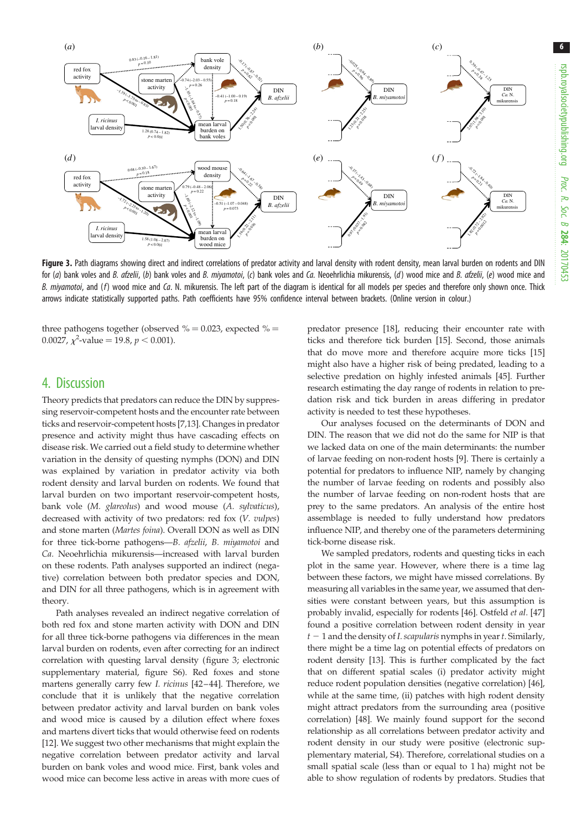<span id="page-5-0"></span>

Figure 3. Path diagrams showing direct and indirect correlations of predator activity and larval density with rodent density, mean larval burden on rodents and DIN for (a) bank voles and B. afzelii, (b) bank voles and B. miyamotoi, (c) bank voles and Ca. Neoehrlichia mikurensis, (d) wood mice and B. afzelii, (e) wood mice and B. miyamotoj, and (f) wood mice and Ca. N. mikurensis. The left part of the diagram is identical for all models per species and therefore only shown once. Thick arrows indicate statistically supported paths. Path coefficients have 95% confidence interval between brackets. (Online version in colour.)

three pathogens together (observed % = 0.023, expected % = 0.0027,  $\chi^2$ -value = 19.8,  $p < 0.001$ ).

## 4. Discussion

Theory predicts that predators can reduce the DIN by suppressing reservoir-competent hosts and the encounter rate between ticks and reservoir-competent hosts [\[7](#page-6-0),[13\]](#page-6-0). Changes in predator presence and activity might thus have cascading effects on disease risk. We carried out a field study to determine whether variation in the density of questing nymphs (DON) and DIN was explained by variation in predator activity via both rodent density and larval burden on rodents. We found that larval burden on two important reservoir-competent hosts, bank vole (M. glareolus) and wood mouse (A. sulvaticus), decreased with activity of two predators: red fox (V. vulpes) and stone marten (Martes foina). Overall DON as well as DIN for three tick-borne pathogens—B. afzelii, B. miyamotoi and Ca. Neoehrlichia mikurensis—increased with larval burden on these rodents. Path analyses supported an indirect (negative) correlation between both predator species and DON, and DIN for all three pathogens, which is in agreement with theory.

Path analyses revealed an indirect negative correlation of both red fox and stone marten activity with DON and DIN for all three tick-borne pathogens via differences in the mean larval burden on rodents, even after correcting for an indirect correlation with questing larval density (figure 3; electronic supplementary material, figure S6). Red foxes and stone martens generally carry few I. ricinus [\[42](#page-7-0)–[44](#page-7-0)]. Therefore, we conclude that it is unlikely that the negative correlation between predator activity and larval burden on bank voles and wood mice is caused by a dilution effect where foxes and martens divert ticks that would otherwise feed on rodents [\[12](#page-6-0)]. We suggest two other mechanisms that might explain the negative correlation between predator activity and larval burden on bank voles and wood mice. First, bank voles and wood mice can become less active in areas with more cues of predator presence [\[18](#page-7-0)], reducing their encounter rate with ticks and therefore tick burden [\[15](#page-6-0)]. Second, those animals that do move more and therefore acquire more ticks [[15\]](#page-6-0) might also have a higher risk of being predated, leading to a selective predation on highly infested animals [[45\]](#page-7-0). Further research estimating the day range of rodents in relation to predation risk and tick burden in areas differing in predator activity is needed to test these hypotheses.

Our analyses focused on the determinants of DON and DIN. The reason that we did not do the same for NIP is that we lacked data on one of the main determinants: the number of larvae feeding on non-rodent hosts [[9](#page-6-0)]. There is certainly a potential for predators to influence NIP, namely by changing the number of larvae feeding on rodents and possibly also the number of larvae feeding on non-rodent hosts that are prey to the same predators. An analysis of the entire host assemblage is needed to fully understand how predators influence NIP, and thereby one of the parameters determining tick-borne disease risk.

We sampled predators, rodents and questing ticks in each plot in the same year. However, where there is a time lag between these factors, we might have missed correlations. By measuring all variables in the same year, we assumed that densities were constant between years, but this assumption is probably invalid, especially for rodents [[46\]](#page-7-0). Ostfeld et al. [[47\]](#page-7-0) found a positive correlation between rodent density in year  $t-1$  and the density of I. scapularis nymphs in year t. Similarly, there might be a time lag on potential effects of predators on rodent density [\[13](#page-6-0)]. This is further complicated by the fact that on different spatial scales (i) predator activity might reduce rodent population densities (negative correlation) [[46\]](#page-7-0), while at the same time, (ii) patches with high rodent density might attract predators from the surrounding area (positive correlation) [\[48](#page-7-0)]. We mainly found support for the second relationship as all correlations between predator activity and rodent density in our study were positive (electronic supplementary material, S4). Therefore, correlational studies on a small spatial scale (less than or equal to 1 ha) might not be able to show regulation of rodents by predators. Studies that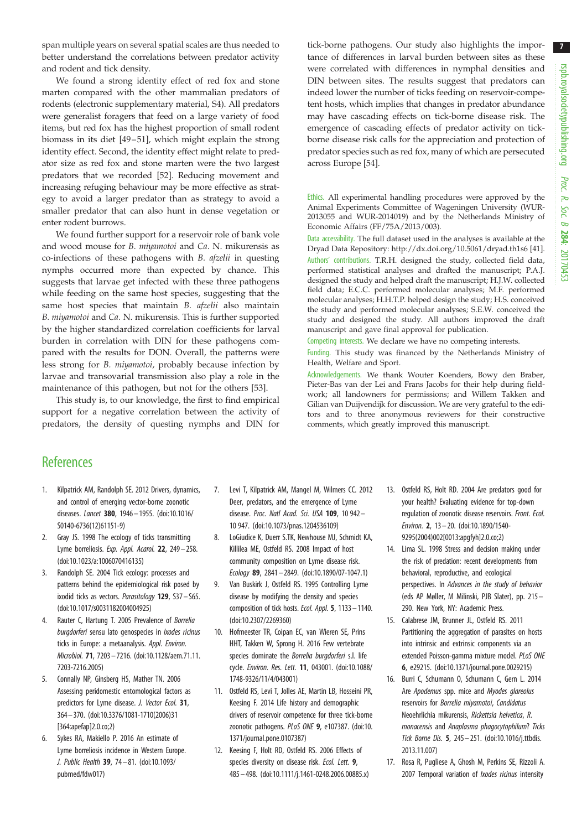<span id="page-6-0"></span>span multiple years on several spatial scales are thus needed to better understand the correlations between predator activity and rodent and tick density.

We found a strong identity effect of red fox and stone marten compared with the other mammalian predators of rodents (electronic supplementary material, S4). All predators were generalist foragers that feed on a large variety of food items, but red fox has the highest proportion of small rodent biomass in its diet [[49](#page-7-0)–[51](#page-7-0)], which might explain the strong identity effect. Second, the identity effect might relate to predator size as red fox and stone marten were the two largest predators that we recorded [\[52](#page-7-0)]. Reducing movement and increasing refuging behaviour may be more effective as strategy to avoid a larger predator than as strategy to avoid a smaller predator that can also hunt in dense vegetation or enter rodent burrows.

We found further support for a reservoir role of bank vole and wood mouse for B. miyamotoi and Ca. N. mikurensis as co-infections of these pathogens with B. afzelii in questing nymphs occurred more than expected by chance. This suggests that larvae get infected with these three pathogens while feeding on the same host species, suggesting that the same host species that maintain B. afzelii also maintain B. miyamotoi and Ca. N. mikurensis. This is further supported by the higher standardized correlation coefficients for larval burden in correlation with DIN for these pathogens compared with the results for DON. Overall, the patterns were less strong for B. miyamotoi, probably because infection by larvae and transovarial transmission also play a role in the maintenance of this pathogen, but not for the others [[53\]](#page-7-0).

This study is, to our knowledge, the first to find empirical support for a negative correlation between the activity of predators, the density of questing nymphs and DIN for tick-borne pathogens. Our study also highlights the importance of differences in larval burden between sites as these were correlated with differences in nymphal densities and DIN between sites. The results suggest that predators can indeed lower the number of ticks feeding on reservoir-competent hosts, which implies that changes in predator abundance may have cascading effects on tick-borne disease risk. The emergence of cascading effects of predator activity on tickborne disease risk calls for the appreciation and protection of predator species such as red fox, many of which are persecuted across Europe [[54](#page-7-0)].

Ethics. All experimental handling procedures were approved by the Animal Experiments Committee of Wageningen University (WUR-2013055 and WUR-2014019) and by the Netherlands Ministry of Economic Affairs (FF/75A/2013/003).

Data accessibility. The full dataset used in the analyses is available at the Dryad Data Repository:<http://dx.doi.org/10.5061/dryad.th1s6> [\[41](#page-7-0)]. Authors' contributions. T.R.H. designed the study, collected field data, performed statistical analyses and drafted the manuscript; P.A.J. designed the study and helped draft the manuscript; H.J.W. collected field data; E.C.C. performed molecular analyses; M.F. performed molecular analyses; H.H.T.P. helped design the study; H.S. conceived the study and performed molecular analyses; S.E.W. conceived the study and designed the study. All authors improved the draft manuscript and gave final approval for publication.

Competing interests. We declare we have no competing interests.

Funding. This study was financed by the Netherlands Ministry of Health, Welfare and Sport.

Acknowledgements. We thank Wouter Koenders, Bowy den Braber, Pieter-Bas van der Lei and Frans Jacobs for their help during fieldwork; all landowners for permissions; and Willem Takken and Gilian van Duijvendijk for discussion. We are very grateful to the editors and to three anonymous reviewers for their constructive comments, which greatly improved this manuscript.

## **References**

- 1. Kilpatrick AM, Randolph SE. 2012 Drivers, dynamics, and control of emerging vector-borne zoonotic diseases. Lancet 380, 1946– 1955. ([doi:10.1016/](http://dx.doi.org/10.1016/S0140-6736(12)61151-9) [S0140-6736\(12\)61151-9\)](http://dx.doi.org/10.1016/S0140-6736(12)61151-9)
- 2. Gray JS. 1998 The ecology of ticks transmitting Lyme borreliosis. Exp. Appl. Acarol. 22, 249-258. [\(doi:10.1023/a:1006070416135\)](http://dx.doi.org/10.1023/a:1006070416135)
- 3. Randolph SE. 2004 Tick ecology: processes and patterns behind the epidemiological risk posed by ixodid ticks as vectors. Parasitology 129, S37-S65. [\(doi:10.1017/s0031182004004925](http://dx.doi.org/10.1017/s0031182004004925))
- 4. Rauter C, Hartung T. 2005 Prevalence of Borrelia burgdorferi sensu lato genospecies in Ixodes ricinus ticks in Europe: a metaanalysis. Appl. Environ. Microbiol. 71, 7203– 7216. [\(doi:10.1128/aem.71.11.](http://dx.doi.org/10.1128/aem.71.11.7203-7216.2005) [7203-7216.2005\)](http://dx.doi.org/10.1128/aem.71.11.7203-7216.2005)
- 5. Connally NP, Ginsberg HS, Mather TN. 2006 Assessing peridomestic entomological factors as predictors for Lyme disease. J. Vector Ecol. 31, 364– 370. ([doi:10.3376/1081-1710\(2006\)31](http://dx.doi.org/10.3376/1081-1710(2006)31[364:apefap]2.0.co;2) [\[364:apefap\]2.0.co;2](http://dx.doi.org/10.3376/1081-1710(2006)31[364:apefap]2.0.co;2))
- Sykes RA, Makiello P. 2016 An estimate of Lyme borreliosis incidence in Western Europe. J. Public Health 39, 74 – 81. ([doi:10.1093/](http://dx.doi.org/10.1093/pubmed/fdw017) [pubmed/fdw017](http://dx.doi.org/10.1093/pubmed/fdw017))
- 7. Levi T, Kilpatrick AM, Mangel M, Wilmers CC. 2012 Deer, predators, and the emergence of Lyme disease. Proc. Natl Acad. Sci. USA 109, 10 942-10 947. ([doi:10.1073/pnas.1204536109](http://dx.doi.org/10.1073/pnas.1204536109))
- 8. LoGiudice K, Duerr S.TK, Newhouse MJ, Schmidt KA, Killilea ME, Ostfeld RS. 2008 Impact of host community composition on Lyme disease risk. Ecology 89, 2841 – 2849. [\(doi:10.1890/07-1047.1\)](http://dx.doi.org/10.1890/07-1047.1)
- 9. Van Buskirk J, Ostfeld RS. 1995 Controlling Lyme disease by modifying the density and species composition of tick hosts. Ecol. Appl. 5, 1133 – 1140. [\(doi:10.2307/2269360](http://dx.doi.org/10.2307/2269360))
- 10. Hofmeester TR, Coipan EC, van Wieren SE, Prins HHT, Takken W, Sprong H. 2016 Few vertebrate species dominate the Borrelia burgdorferi s.l. life cycle. Environ. Res. Lett. 11, 043001. [\(doi:10.1088/](http://dx.doi.org/10.1088/1748-9326/11/4/043001) [1748-9326/11/4/043001\)](http://dx.doi.org/10.1088/1748-9326/11/4/043001)
- 11. Ostfeld RS, Levi T, Jolles AE, Martin LB, Hosseini PR, Keesing F. 2014 Life history and demographic drivers of reservoir competence for three tick-borne zoonotic pathogens. PLoS ONE 9, e107387. [\(doi:10.](http://dx.doi.org/10.1371/journal.pone.0107387) [1371/journal.pone.0107387\)](http://dx.doi.org/10.1371/journal.pone.0107387)
- 12. Keesing F, Holt RD, Ostfeld RS. 2006 Effects of species diversity on disease risk. Ecol. Lett. 9, 485 – 498. [\(doi:10.1111/j.1461-0248.2006.00885.x](http://dx.doi.org/10.1111/j.1461-0248.2006.00885.x))
- 13. Ostfeld RS, Holt RD. 2004 Are predators good for your health? Evaluating evidence for top-down regulation of zoonotic disease reservoirs. Front. Ecol. Environ. 2, 13 – 20. [\(doi:10.1890/1540-](http://dx.doi.org/10.1890/1540-9295(2004)002[0013:apgfyh]2.0.co;2) [9295\(2004\)002\[0013:apgfyh\]2.0.co;2](http://dx.doi.org/10.1890/1540-9295(2004)002[0013:apgfyh]2.0.co;2))
- 14. Lima SL. 1998 Stress and decision making under the risk of predation: recent developments from behavioral, reproductive, and ecological perspectives. In Advances in the study of behavior (eds AP Møller, M Milinski, PJB Slater), pp. 215– 290. New York, NY: Academic Press.
- 15. Calabrese JM, Brunner JL, Ostfeld RS. 2011 Partitioning the aggregation of parasites on hosts into intrinsic and extrinsic components via an extended Poisson-gamma mixture model. PLoS ONE 6, e29215. [\(doi:10.1371/journal.pone.0029215\)](http://dx.doi.org/10.1371/journal.pone.0029215)
- 16. Burri C, Schumann O, Schumann C, Gern L. 2014 Are Apodemus spp. mice and Myodes glareolus reservoirs for Borrelia miyamotoi, Candidatus Neoehrlichia mikurensis, Rickettsia helvetica, R. monacensis and Anaplasma phagocytophilum? Ticks Tick Borne Dis. 5, 245– 251. [\(doi:10.1016/j.ttbdis.](http://dx.doi.org/10.1016/j.ttbdis.2013.11.007) [2013.11.007](http://dx.doi.org/10.1016/j.ttbdis.2013.11.007))
- 17. Rosa R, Pugliese A, Ghosh M, Perkins SE, Rizzoli A. 2007 Temporal variation of Ixodes ricinus intensity